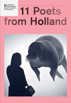Nederlands letterenfonds

# dutch foundation<br>for literature 11 Poets from Holland

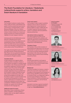### The Dutch Foundation for Literature / Nederlands Letterenfonds supports writers, translators and Dutch literature in translation

#### Information

The Foundation's advisors on poetry, literary fiction, quality non-fiction, youth literature and graphic novels are present each year at prominent book fairs, including Frankfurt, London, Beijing and Bologna. *Poets from Holland*, *Books from Holland, Quality Non-Fiction from Holland, Children's Books from Holland* and *Graphic Novelists from Holland* recommend highlights from each category's selection.

Individual poets from the Netherlands are also featured in separate brochure series: *Contemporary Dutch Poets*, *Zeitgenössische Niederländische Poesie*, and *Great Dutch Poets of the 20th Century*. If you would like to receive more information or brochures from this series, please contact Thomas Möhlmann.

Over eighty interesting Dutch poets are featured at the Dutch domain of Poetry International Web. Please visit www.poetryinternationalweb. net/pi/site/country/item/6 for heaps of information and poems in English translation.

#### Translation Grants

Foreign publishers and magazine editors wishing to publish a translation of Dutch or Frisian literature may apply for a subsidy towards the translation costs. Having acquired the rights, the publisher's application must be accompanied by a copy of the contract with the rights owner and a copy of the contract with the translator. Application forms are available from the Foundation's website. Subsidies are paid after receipt of complimentary copies, with printed acknowledgement and logo of the Foundation's support. A sample translation may be required and evaluated by our external advisors. Applications for translations that have already been published cannot be taken into consideration. Publishers looking for a qualified translator can request a list of endorsed translators for their language area.

#### Additional support for poetry

Specifically in case of a publication of Dutch poetry in translation, a foreign publisher or magazine editor can also apply for additional financial assistance.

#### Travel costs support

The Foundation is able to support a publisher wishing to invite an author for interviews or public appearances. Literary festivals are likewise eligible for support. Additionally, the Foundation organizes international literary events in co-operation with local publishers, festivals and book fairs.

#### International visitors programme

The visitors programme and the annual Amsterdam Fellowship offer publishers and editors the opportunity to acquaint themselves with the publishing business and the literary infrastructure of the Netherlands.

#### Translators' House

The Translators' House offers translators of Dutch literature the opportunity to live and work in Amsterdam for a period of time. It is involved with numerous activities assisting and advancing translators' skills. Each year the Literary Translation Days are held for those translating into and from Dutch.

#### **Schwob**

Schwob draws attention to and supports as-yet undiscovered, untranslated classics of world literature. Each month the editors select new titles on www.schwob.nl.

#### **Background**

The Dutch Foundation for Literature, created in 2010 as the result of the merger between the Foundation for the Production and Translation of Dutch Literature (NLPVF) and the Foundation for Literature (FvdL), is an independent organization financed by the Ministry of Education, Culture and Science. Policies and projects are carried out in co-operation with the Flemish Literature Foundation.

Interested in receiving our general newsletter? Send your request to post@letterenfonds.nl or sign up on www.letterenfonds.nl.

### Dutch Foundation

for Literature Nieuwe Prinsengracht 89 1018 VR Amsterdam Tel. +31 20 520 73 00 Fax +31 20 520 73 99 The Netherlands post@letterenfonds.nl www.letterenfonds.nl

#### Advisor Poetry



Thomas Möhlmann t.moehlmann@letterenfonds.nl

#### Travel costs support



Maaike Pereboom m.pereboom@letterenfonds.nl

#### **Schwob**



Alexandra Koch a.koch@letterenfonds.nl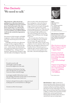### Ellen Deckwitz 'We need to talk'

**Ellen Deckwitz, while only having published two collections of poetry, is already an ubiquitous presence in Dutch poetry. She has been part of the slam poetry circuit since 2000 and won the national Poetry Slam championship in 2009. Nevertheless, it is with her printed work that she reached the larger poetry audience.** 

Her poems are both energetic and highly imaginative, which certainly makes her one of the most lively poets in the Dutch language.

Strikingly, each of her two collections manage to evoke completely different moods. In her debut, *The Stone Fears Me* (2011) – which won her the Netherlands' most important debut prize for poetry, the C. Buddingh' Prize – feelings of dread dominate, which the poet attempts to allay with 'the bullet of the ballpoint'. Especially when everyday reality takes hold, dental floss, immigrants, a visit to the Dam in Amsterdam, you can feel the subdued danger. Deckwitz has the gift of being able to describe her experiences in a both mesmerising and lucid way. While this is by no means feel-good poetry, you do notice she is looking for light and liberation: 'The soil is sucking up the worms and I suppose/ that we all want to be/ thought of as sweet.'

Her second volume *Hey Party* (2012) takes a very different tone; it is indeed more of a party. She approaches the macabre with a joke: 'O jeez, if only I were a skeleton. Or even/ skinnier. Then I could finally seep/ through the wall between us.' Fearful or festive, Deckwitz' poetry is explicitly open-natured, without mystification or obscure avant-gardism, but it does offer a cheerful and poignant élan.

He said we need to talk and thought to grab my ankle but my foot slipped out of the mule.

**\***

I slid down to the bottom of my bag where the fish swim. In a previous life I was one of them, relatively happy

in amongst a jumble I did not have to turn into anything. Sometimes on the surface we saw the bums of ducks, which gave some cloud cover.

And now and again from up above a desperate hand would grope for us, the hand that we called god.

(Translation by Willem Groenewegen)

Ellen Deckwitz (b. 1982) currently lives in Utrecht and holds an MA in literary and cultural sciences. She performed at Dutch festivals like Lowlands, the Nacht van de Poëzie and Poetry International, but also in Birmingham, Paris and Berlin. She was the Dutch Slam Poetry Champion in 2009, is a member of the rock-poetry formation Asphalt Fairies, and during the European Championship of Football in 2012, she was on national Dutch radio as a football expert.



#### **Rights**

Nijgh & Van Ditmar Singel 262 NL – 1016 AC Amsterdam t +31 20 551 12 62 t +31 20 620 35 09 rights@singel262.nl www.nijghenvanditmar.nl

#### Ellen Deckwitz in Translation

Deckwitz performed on many foreign stages and her poems have been translated and published in English, German, French and Spanish.

Ellen Deckwitz is the best thing to happen to Dutch poetry in recent years. — *Ingmar Heytze*

Deckwitz is lord and master of her language from beginning to end. Every image used adds something. — *Jury's of the Buddingh' Prize*

Original and sparkling as a narrative, an idiom all her own comprising vivid images. A compelling fantasmagoria. — *De Volkskrant* 

Photo: Nadine Ancher

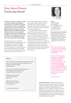### Ester Naomi Perquin 'Lock your horse'

**Perquin's first collection** *Napkins at Half*  **is a series of striking, tasteful images presented in an accessible style. Perquin revealed herself clearly as writing in the tradition of post-war poets of small-scale happiness and small-scale sorrow, like Rutger Kopland and Judith Herzberg, but also showed a more menacing side, for example in the short poem 'At Full Moon', in which a man is shaving and the association with a werewolf pops up: 'and then with a razor/ shaves the wolf from sight.'**

In other poems too, she sometimes suddenly throttles the original idea, or has her images transcend what originally prompted them and take on a slightly surrealistic quality. You could characterize her work with the phrase 'polite oddity'. That is certainly true of her last collection, *Cell Inspections*, in which her past as a

prison officer plays a large part. With an open mind, Perquin enters the lives of criminals, losers and lost souls and experiences how multi-faceted life is, even within the confines of a cell: full of dream, love, regret, opportunism.

You could say that with her classical sense of form but fascination with evil, Perquin is pursuing a contemporary version of 'Romantic agony'. In a climate where many of her contemporaries turn mainly to wild and unconstrained forms of poetry, Perquin shows herself a more classical poet, but one who in a subtle way raises the issue of the perverse character of the world and society. No wonder she's regarded as one of the most promising young female poets of the moment and has already won a considerable amount of literary prizes.

#### **DELAY**

We are modern. It's not the right century for love and there are no women anywhere standing on towers looking out. The last knight died of syphillis.

We have lost the knack of fluttering banners, the whispering between the stones, song and the names of flowers.

Hastily we toss each other body parts in passing. All is well.

Bolt these doors when it grows dark. Stay with me. Lock your horse.

(Translation by David Colmer)



#### **Rights**

G.A. van Oorschot Herengracht 613 NL – 1017 CE Amsterdam t +31 20 623 14 84 contact@vanoorschot.nl www.vanoorschot.nl

#### Ester Naomi Perquin in Translation

Perquin performed on several foreign stages and her poems have been translated and published in English, French, German, Slovenian and Spanish. In 2010, her poem 'State Secret' was translated in all languages of the European Union.

The tone, the clarity and the eye for the ordinary in an 'ordinary' form are very effectively conveyed. — *Meander*

As far as I'm concerned, the poem 'At Full Moon' should be chalked on walls, and the poem 'Architects', which seems to be partly pillorying unrestrained building mania, should definitely be made compulsory reading for all kinds of architectural courses. Perquin, a new asset to watch out for. — *Sapsite*

Photo: Sander Vermeer

Ester Naomi Perquin (b. 1980) worked in the prison service to help fund her studies at the school of creative writing in Amsterdam. Her début, *Napkins at Half Mast* (2007), was awarded the Liegend Konijn Prize, and followed by a second collection, *On Behalf of the Other* (2009), which was awarded the J.C. Bloem Prize. For both collections jointly she also received the prestigious Van der Hoogt Prize. 2012 saw the appearance of her striking third collection *Cell Inspections*, which gained her the VSB Poetry Prize in 2013.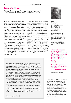# Mustafa Stitou 'Mocking and pitying at once'

**When Mustafa Stitou made his debut with** *My Forms* **in 1994, he was the first Dutch poet of Moroccan origin to publish a collection with a major publishing house. This might have helped a bit in raising extra attention to his work, as did the fact that he was only nineteen years old when he published it, but the most important reason for the sensation that**  *My Forms* **caused, can merely be attributed to the unusual tone of voice the poet displayed in it, combined with highly original images and points of view.**

Of his first three collections, Stitou says: 'My debut was uninhibited, but it contained poems that were not really rounded off. In the second collection, the poems were more flawless and light-hearted, but I overtaxed the experiment. I've eased back with this [third] collection: I've combined the candour of the first book with the precision of the second.'

**\***

In all of his collections, including the latest, Stitou often presents Eastern and Western values and modes of thought as being in conflict, but he does so in an unpredictable fashion. He creates a medley of the high and low and of different cultures that gives rise to a vibrant tension, while also provoking urgent questions – for instance about identity, which is one of Stitou's most important subjects.

In general, Stitou distinguishes himself by means of a phenomenal application of language in which emotion and intellect enter into a rare bond. He tacks easily between reality and imagination, irony and commitment, humour and seriousness – with all their ambiguities, invariably wrapped in dazzling forms. He is also an excellent reciter and performs at literary events and festivals throughout the country and abroad.

On my back I carried the coffin in which my father lay. Bent low by its weight, I staggered forward step by step. My pace slowed, the burden was too great. It was beyond me. Carefully I lowered myself full-length to the ground, slid out from under the coffin, raised the lid without hesitating and whispered, Father, I can't carry you. I'm sorry. Could you maybe walk a little?

It took him a while to open his eyes. His face was unshaven, his hair tousled. He was wearing long johns and a white vest. Then he sighed and shook his head, mocking and pitying at once, like always. He sat up, climbed out of the coffin and moved on with calm steps. I walked along behind him and I too said nothing.

The coffin remained where it was, in the middle of the path.

We reached the grave, which was already dug. Without a word he settled down: lying on his side, then turning over to lie on the other side.

His god wants him to face east, I thought, towards Mecca. Fortunately he didn't ask me which way east was, because I didn't know.

He folded his hands together, slid them under his head as a pillow, sighed deeply again and closed his eyes, and I, I fell to my knees and began, with furious sweeps of my arms, to fill the grave.



#### Rights

De Bezige Bij Van Miereveldstraat 1 NL – 1071 DW Amsterdam t +31 20 305 98 10 f +31 20 305 98 24 h.deinum@debezigebij.nl www.debezigebij.nl

#### Mustafa Stitou in translation

Stitou performed on many international stages and his poems have been published in anthologies and magazines in Argentina, France, Germany, Hungary, Indonesia, Lithuania, Macedonia, Slovenia, South-Africa, Rumania, Serbia, Slovenia, Spain, Sweden and the UK.

The conceivable and the inconceivable are equalized. 'The underlying is what shows itself,' writes Stitou. It is the rich breeding ground of these luxuriantly thriving poems. — *Knack*

Stitou is being called the most important poet of his generation. — *Noordhollands Dagblad*

Photo: Tessa Posthuma de Boer

Mustafa Stitou (b. 1974) published his first collection, *My Forms*, in 1994 at the age of nineteen. In 1998 *My Poems* followed and two years later both collections were republished in one volume. His third collection, *Pig-Pink Picture Postcards* (2003), was awarded both the prestigious VSB Poetry Prize and the Jan Campert Prize. A silence of ten years followed, after which *Temple* (2013) finally appeared, causing an enthusiastic stir among Dutch readers and critics alike.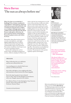### Maria Barnas 'The sun as always before me'

**When** *Two Suns* **was awarded the C. Buddingh' Prize, the jury considered it 'contemplative, musical poetry, desperate and humorous, powerful and brittle, with a transparency that gets more complex on re-reading'. Although similar words could be used to generally describe Maria Barnas's subsequent collections, the poet's style has clearly evolved: Barnas loosens her grip on syntax and widens her focus.** 

Meanwhile, sharp observations seem to overrule contemplation, and a light, slightly frightening sense of violence enters her poems now and again. Her craftsmanship, which critics praised in *Twee zonnen*, is still there, but it's put to use in a more nonchalant manner.

Barnas still combines her various artistic trades, and added writing poetry reviews, a libretto and plays for theatre and radio to the list, but writing poetry is at the centre of her activities. As she once told a reporter of the Dutch daily *Trouw*, she always needs to find a solution for something in a poem first, before she can start thinking about it in any other form. Her distinctive characteristic is that she displays control in all the disciplines she engages in. She sets about things in a self-assured, sophisticated way. Her work is also characterised by a subtle sense of humour. And it has a pleasant, poetic immediacy: when she describes the Amstel river and 'the front of the city', she suddenly briskly continues 'but/ everything that I say exists.' But despite their clarity, her poems can have a disorientating effect. Associations occasionally lead the reader away from the described situation. The perspective in her poems regularly capsizes and changes.

#### **TWO SUNS**

When I fall asleep the sea is still below and the sun as always before me.

I am standing next to a detail of dark water and later on I'll be by the boats,

their white sails light as voices sighing with relief, and sometimes ecstatic between the chattering gulls.

But in the ring I was given I am set slanted next to a date. And I see him disappear in the distance, with a sun. Sloppily repeated in the window.

He called me Flower. Or else Springtime, Sexy, Sweetest, Sweetie, Sweet and recently more often Prefernot, Notnow, Please.

(Translation by Donald Gardner)



#### **Rights**

De Arbeiderspers Franz Lisztplantsoen 200 NL – 3533 JG Utrecht t +31 30 247 04 68 f +31 30 241 00 18 laetitia.powell@apawb.nl www.arbeiderspers.nl

#### Maria Barnas in translation

Poems by Maria Barnas have been translated and published in anthologies and magazines in Argentina, Italy, Portugal, Slovenia, South-Africa, Spain, Switzerland and the UK. An extensive collection of her poems was published in Croatia (Brutal).

Maria Barnas definitely knows the tools and how to use them. — *NRC Handelsblad*

She doesn't allow us to briefly go back home or get back to reality. We must keep on walking through the wonderland of her metaphors. — *De Groene Amsterdammer*

In Barnas's work, nothing is just what it seems. — *De Recensent*

Photo: Marijke Aerden

Before she published her first collection of poetry, *Two Suns* (2003), Maria Barnas (b. 1973**)** had already written two novels and established herself as a visual artist. *Two Suns* was awarded the C. Buddingh' Prize, one of Holland's most important debut prizes, and followed by her highly appraised collections *A City Rises* (2007; J.C. Bloem Prize) and *Yeahyeah the Big Bang* (2013).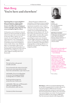### Mark Boog 'You're here and elsewhere'

**Mark Boog likes to reason and philosophize in his poems, without taking recourse to the great philosophers, however. He follows his own independent line of thought, using a logic that may seem anything but logical to others.** 

In his poems, most of which are situated indoors, he characteristically uses abstractions in the same role as concrete objects. In the poem 'Water, aspirin, you', for instance, the 'you' brings the 'I' an aspirin, whereupon the 'I' says: 'And bring me, while you're/ at it, an eternal darkness'. Grand abstractions such as happiness, chance, doubt, silence, time, loneliness, figure as commonplace objects in his poetry. In some poems this produces an amusing effect, reminiscent of the work of Dutch poet Toon Tellegen; in others it rather suggests a kinship with Gerrit Kouwenaar.

Boog in his poetry emphasizes the uselessness of all human actions, keeping in mind, moreover, that total destruction may be just around the corner: 'and for a while the wrecker's been awake,/ although on a heavy, iron chain in front of our window/ the wrecking ball hangs still, gleaming in the late summer sun.' Yet the poet resists any kind of inertia: we 'beat our night clothes, ourselves, like carpets'. It is the pointlessness which clothes everything 'in a storm coat/ of tension'. The poet fights arbitrariness by plotting a course, and by classifying everything and anyone (e.g. himself as 'among the lucky'). Language plays an allaying role here, as Boog says in an interview: 'it helps to say things beautifully'.

#### **LOVE**

The sky lies flat on the ground, invisible and solid.

You are dressed in the colour of your hair, in your eyes, your steps and your words. You're here and elsewhere. I give chase to you

and shudder. You are too tall perhaps, or too near. Your inapproachability is unforgivable. If I could be a bird –

but the precision escapes me as does the trust. I look at you

and shudder. Talk to me, as I'll keep quiet, suffer my stranglehold, suffer the awkwardness, suffer me, love.

(Translation by Willem Groenewegen)



#### **Rights**

Cossee Kerkstraat 361 NL - 1017 HW Amsterdam t +31 20 528 99 11 f +31 20 528 99 12 molegraaf@cossee.com www.cossee.com

#### Mark Boog in translation

Boog's poems have been published in anthologies and magazines in Arabic, German Portuguese, Rumanian, Spanish and Turkish. A full collection of his poems in translation was published in Lithuanian (Aidai).

His work is an interplay of intimacy and space, of domesticity and eternities. — *Gerrit Komrij*

Boog is a master of reversal and of 'false appearance' in the good sense of the term. He conceals nothing in this way, but actually makes everything more painfully visible. And in such a manner that you can often laugh about it. — *Trouw*

Photo: Isa Boog

Mark Boog (b. 1970) was awarded the Buddingh' Prize for new Dutch-language poetry for his debut collection *As if Something Happens* (2000). He has since been publishing at high speed, certainly for a poet who boasts about his strong penchant for idleness: five novels and five new volumes of poetry, one of which, *The Encyclopaedia of Big Words* (2005) won the prestigious VSB Poetry Prize. His most recent collection is *But Singing* (2013).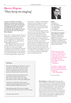# Menno Wigman 'They keep on singing'

**As a poet, and also as a translator, Wigman is steeped in the tradition of nineteenth-century dark romanticism, including that period's mix of posture and authenticity. The existence he describes has all the hallmarks of a lost generation in the style of the French**  *Poètes Maudits***.** 

He is, in fact, a modern-day practitioner of Weltschmerz and Spleen: love is consummated but doomed to fail; paradise is forever sought but never found, young people indulge in loose and licentious living, but gloom persists.

After Wigman's first collection *In the Summer All Cities Stink* (1997), his next one, *Black as Caviar* (2001), though retaining some of his illusionless outlook, sounded somewhat less bitter. As Dutch critic Rob Schouten put it: 'The ugliness of the world and the failures of life continue to set the mood, but there may be some

merit in this […]. With increasing subtlety and effectiveness, Wigman succeeds in translating personal and up-to-date impressions into universal and timeless terms and images. A punk rocker on his way to becoming a classic.'

The word 'classic' also comes to mind when one tries to describe Wigman's style and formal technique which show a conscious and masterful use of (half) rhymes, metre and rhythm. Unlike most of his contemporaries, he remains loyal to classical verse forms, or creates poems that at least have the looks and sound of timeless pieces by long diseased ancestors. But he manages to revitalize these forms, give them an unmistakably personal and modern touch and thus write poems that are both transparent and edgy. So far, each new collection confirms Wigman's status as one of the most talented and popular poets among his generation.



#### **Rights**

Prometheus Herengracht 540 NL – 1017 CG Amsterdam t +31 20 624 19 34 f +31 20 622 54 61 d.larsen@pbo.nl www.uitgeverijprometheus.nl

#### Menno Wigman in translation

Wigman's poems have been published in anthologies and magazines in Chinese, Czech, English, French, German, Macedonian, Portuguese, Rumanian and Spanish. A full collection is in preparation in the UK, after previous ones in France (Cheyne) and the US (Midwest Writing Center).

When you notice that you're constantly about to quote, you know you're in the right spot: you're reading poetry that sounds great and really has something to say at the same time. *— Het Parool*

Decadent-romantic, dark therefore, or light-footed. Or an amazing combination of that two. *— NRC Handelsblad*

Photo: Roeland Fossen

#### **ROOM 421**

My mother's falling apart. She lives in a closet, not quite a coffin, where she wets her chair and sits the same day out each day. A view of trees as well and in those trees are birds and none of them know who they're from.

I've been her son for more than forty years and visit her and don't know who I see. She read to me and tucked me in at night. She stammers, falters, stalls. She's falling apart.

Animals never think about their mothers. I spoon some quivering mush into her mouth, and tell myself she still knows who I am.

Blackbirds, probably. They keep on singing. The call of the earth. From curse to curse, it's heard.

(Translation by David Colmer)

Menno Wigman (b. 1966) published five poetry collections, compiled several anthologies, and translated a large number of European poets, including Baudelaire, Rilke and Laske-Schüler. In 2006, Wigman was the youngest poet to write the 'Gedichtendagbundel': a small collection with a print run of 15,000 copies, published to celebrate the Dutch and Flemish National Poetry Day. A collection of his essays on poetry, *Save Us from the Poets*, was published in 2010. His most recent collection of poems, *My Name is Legion* (2012), was shortlisted for the VSB Poetry Prize and won the Awater Poetry Prize in 2013.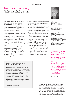### Nachoem M. Wijnberg 'Why would I do that'

**One ought to be able to say of a poem: it begins well, but by line seven it becomes a false claim – according to Nachoem M. Wijnberg, one of the Netherlands' preeminent living poets. He also once said that a child of twelve could understand his poems.** 

Correspondingly, in his phrasing, he seeks clarity and validity. Perhaps this evokes ideas of simplicity and straightforwardness, but that is not the case: opinions are seldom as diverse as those concerning this oeuvre. The vast majority of poetry lovers agree that Wijnberg writes brilliant, powerful poems, but what are they actually about?

Some readers refuse to believe that Wijnberg's poems contain a 'deeper' significance, and enjoy the directly apparent as much as possible. They praise the simplicity, tragedy and beauty of the situations he sketches. They applaud his lack of metaphor. Others put his work

through a post-modern filter and maintain that Wijnberg questions language, reason, and unambiguousness.

Yet others refer to the poets Jewish roots and point to traces of the Talmud. Or they perceive references to the Holocaust in unsuspected corners of the oeuvre. Others again wish to regard him purely as a 'classical' poet who creates his own visual imagery: averse to trains of thought and artistic movements but full of respect for tradition.

If it were not such a cliché, one might say: a Wijnberg poem captures the reader instantly but does not reveal itself easily. However, this cliché is not truly applicable: Wijnberg's poems expose themselves immediately, it is only during re-reading that they turn out to comprise unexpected aspects. One question fragments into a myriad of other questions, but the main issue in many cases appears to be a truly fundamental one: 'What is worthwhile?'

#### **FOLLOWING MY HEART WITHOUT BREAKING THE RULES**

Sticking to the rules without sticking to the rules by going where the rules no longer apply. I could stick to the rules there too by applying them to things that, from a great distance, resemble what the rules are about. But why would I do that, to avoid confusing someone who is looking at me from a great distance?

Behind this morning the morning when the rules are all I have is getting ready.

(Translation by David Colmer)

#### **Rights**

Atlas Contact Prinsengracht 911-915 NL – 1017 KD Amsterdam t +31 20 524 98 00 f +31 20 627 68 51 umatten@atlascontact.nl www.atlascontact.nl

#### Nachoem M. Wijnberg in translation

Wijnberg's poems have been translated and published in anthologies and magazines in Chinese, Farsi, French, German, Hungarian, Macedonian, Rumanian and Spanish. A Selected Poems appeared in English (Anvil Press Poetry) and is being prepared in Italian (La Camera Verde).

You will not readily take his work as belonging to anyone else in the Netherlands or anyone else from his generation. *— Vrij Nederland*

Wijnberg is such a unique author that you always recognize his voice in extremely diverse collections. And that is the characteristic feature of a significant poet. *— De Groene Amsterdammer*

Photo: Vincent Mentzel

Nachoem M. Wijnberg (b. 1961) has been writing at demonic speed for over twenty years now, publishing seventeen books of poetry and four novels. His collections, from *The Simulation of Creation* (1989) to *Another Joke* (2013), have won practically every poetry prize that the Netherlands can boast, and made him one of the most important Dutch poets of the present day. He's also a Professor at the University of Amsterdam, Faculty of Economics and Econometrics.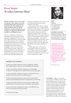### Anne Vegter 'It takes intense bliss'

**With her turbulent style and extraordinary themes, Anne Vegter is one of the most prominent poets in present-day Dutch literature. Her inimitable language and the peculiar conceptual acrobatics were the striking features of her first two collections** *It Sprang* **(1991) and** *Shares and Obligations* **(2oo2).** 

She once remarked in an interview: 'I often find normal means of expression hopelessly exaggerated.' In her case, her lyrical ego may leap from a stairway while observing, en passant, that a calendar is hanging askew. Elsewhere, someone is listening to Bach with a frown on the back of his head. In her third collection, *Spamfighter* (2008), her work became more serious and sedate, despite the ongoing turbulence in the language and the abundance of fantasy. Her unique mixture of a keyed-up overtone and a melancholy and fragile undertone is

perfectly expressed in a line such as: 'A ray of sunshine festively penetrates the windows of the clinic.'

Particularly her last collection, *Island Mountain Glacier* (2011), contains tributes and litanies to life and love. The capricious and rich joie de vivre that transcends the shadow side of domestic situations is assigned a darker hue, like a face that is enhanced by creases: 'Your age scrubs your family coat'. Her apparent spontaneity in 'showing and tripping' – as her poems might sometimes be characterized – leans heavily on stringent selection: only the appropriate moment and the right words are allowed to participate in the performance.

Public appreciation of her work is increasing over the years, which has provisionally culminated in her appointment as Poet Laureate for the Netherlands, the most public function that a poet in the Netherlands can fulfil.

#### **SHOWING AND TRIPPING** *— Trouw*

It takes intense bliss in this dress to look at neighbours stashing their rubbish bag in a container around midnight with tenderness.

It takes intense bliss in this dress to flag down a taxi unwilling to take you to the edge of the city where broad-leaved trees propagate.

It takes intense bliss in this dress to make a sound that drowns out animals to catch the attention of a dolled-up queen.

It takes intense bliss for this dress to be carried to a show drunk and wide awake, blindly find the door through which to exit the stage.

It takes intense bliss in this dress to pop one, go on a balloon ride and look down on the mosaic of your country like a slow astronaut.

It takes intense bliss in this glorious weather to be killed with care. Voices scream instead of dress say shroud.

(Translation by Astrid Alben)



#### **Rights**

Querido Singel 262 NL – 1016 AC Amsterdam t +31 20 551 12 62 f +31 20 620 35 09 rights@singel262.nl www.querido.nl

#### Anne Vegter in translation

Vegter's poems have only been published in anthologies in English, French and Spanish so far. She has been invited to perform on several international stages, including the festivals of Rotterdam and Medellin.

Tumultuous work, in which the chaos can scarcely be tamed and much is possible that would not work in more concentrated poetry. Vegter's later books make it evident that the poetic principle of free and idiosyncratic use of language forms the basis of everything she writes.

Photo: Roger Cremers

Anne Vegter (b. 1958) is a very versatile poet and writer. In 1989 she made her debut with the children's book *The Lady and the Rhinoceros*, which was promptly awarded the Woutertje Pieterse Prize. Her first poetry collection, *It Sprang* (1992), showed that a poet of stature had risen. Several more children's books and poetry collections followed, as well as a collection of erotic stories and several plays, but in every genre the fact that she is first and foremost a poet glimmers through. In 2013 she was appointed Poet Laureate for the Netherlands.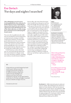### Eva Gerlach 'For days and nights I searched'

**After submitting to several reviews, Gerlach published her first collection** *No Further Distress* **in 1979. It immediately impressed by the precise and considered organization of the individual poems and of the whole collection, yet with a strong, dark, emotional current underlying this formal control.** 

Two years after its publication the collection was awarded the Van der Hoogt Prize, an important prize aiming to stimulate young writers and poets. In many subsequent collections over the years, Eva Gerlach developed into a poet of classical stature. The narrative tone of her early poems gradually gave way to an astute, incisive plasticism, by which she seems to be trying to get a hold on life's events.

Gerlach's poems, in their often dark way, are concerned with the themes that have concerned poets in all ages: transience, loss, the human condition. Avoiding any tendency towards dramatic display or

literary effect, she writes about the mysterious, invisible forces that govern our lives, about the thought 'that in presence lives a truth/ greater than just that/ of the address.'

Eva Gerlach's poetry has more and more freed itself from the prevailing trends in post-war Dutch poetry. Irony, therapeutic impact or linguistic autonomy, the three mainstays of the poetry of her generation, never play a significant part in her work. She is first of all a modest, unsentimental, yet penetrating portrayer of human emotions and motives. Over most recent years a stronger experimental tendency seems to surface in Gerlach's poems and more surrealistic elements are amplified. This might also be regarded a further fine-tuning of a strong and distinct poet's tone of voice, which either whispering, stammering or speaking quite clearly always reminds us: 'Whatever's whole we fail to see' and 'all that is split up sticks in us for good'.



#### **Rights**

De Arbeiderspers Franz Lisztplantsoen 200 NL – 3533 JG Utrecht t +31 30 247 04 68 f +31 30 241 00 18 laetitia.powell@apawb.nl www.arbeiderspers.nl

#### Eva Gerlach in translation

Gerlach's poems have been published in anthologies and magazines in Bulgarian, Czech, Chinese, English, Farsi, Finnish, French, Frisian, German, Hungarian, Italian, Spanish and Swedish. A collection of her poems was published in Portuguese (Quetzal).

That's what good poetry does: touch upon something essential in reality, something you'd immediately sense or recognize, though you never saw it like that before. — *Trouw*

Everything starts moving, becomes ambiguous, gets a new meaning. — *Jury of the P.C. Hooft Prize 2000*

Photo: Roeland Fossen

#### **SO**

A dog with iron eyes had clamped my hand in his mouth. I did not want this to happen but feared I would tear if I offered resistance. Dog, listen I said, let me go and I'll give you whatever you want. But he just wanted me to stay put, use my spare hand to stroke him. So. For days and nights I searched his eyes to find the stronger of us two.

(Translation by John Irons)

Eva Gerlach (b. 1948) writes both poetry for adults and poetry for children. She published her first collection for adults, *No Further Distress* in 1979. Her first volume of children's poetry, *Hey Mr. Moose*, was published in 1989 and promptly awarded the 'Zilveren Griffel', an important children's literature prize. Her entire oeuvre was awarded the highly prestigious P.C. Hooft-prijs in 2000. Her most recent collections are *The Poem Happens Now* (Selected Poems; 2009) and *Knot* (2011).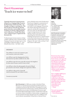### Gerrit Kouwenaar 'Teach ice water to boil'

**Typically, Kouwenaar's poems present themselves as 'language objects': poetry for Kouwenaar consists of words – not thoughts, feelings or anything else. This does not detract from the fact that his poems often have an incredible emotional charge as is clearly evident from just such a collection as** *Totally White Room* **(2oo2), which is in part a requiem for his deceased wife.**

Via Kouwenaar's intense mastery of what could be called the entire 'semantic field' of language, his poems attempt to get as close as possible to 'physical reality' or – as he himself often writes – the 'flesh'. In his

poetry, flesh becomes word. Furthermore, Kouwenaar's linguistic examinations of the passage of time and its causes are unrivalled. In the language of his poems, that which is fleeting and transitory is captured, and thereby retained. Kouwenaar once said, 'Art only deals with a couple of simple themes: life, death, injustice, beauty. You want to create something that will withstand time. Nothing is present forever. A good work of art has been stolen from time, has outwitted merciless time.' In Kouwenaar's poetry, things are the same 'today as always'. And that is how it will remain.



#### **Rights**

**Querido** Singel 262 NL – 1016 AC Amsterdam t +31 20 551 12 62 f +31 20 620 35 09 rights@singel262.nl www.querido.nl

#### Gerrit Kouwenaar in translation

Kouwenaar's poems have been published in anthologies and magazines in numerous languages. Full collections have appeared in English (Actual Size), French (Comp'Act), German (Limes Verlag, Kleinheinrich), Polish (Witryn Artystów) and Swedish (Ellerströms).

#### **ONE MUST**

One still has to count one's summers, pass one's sentence, snow one's winter

one still has to get the shopping done before dark asks the way, black candles for the cellar

one still has to give the sons a pep talk, measure the daughters for their suits of armor, teach ice water to boil

one still has to show the photographer the pool of blood get unused to one's house, change one's typewriter ribbon

one still has to dig a pit for a butterfly trade the moment for one's father's watch –

(Translation by Lloyd Haft)

Gerrit Kouwenaar (b. 1923) was a member of the Dutch Fiftiers Movement, an important group of poets that sent Dutch poetry in a completely new direction after World War II. Nowadays he's considered 'the grand old man of Dutch poetry' and had collected nearly all literary prizes one can collect in the Netherlands. His oeuvre, apart from almost eight hundred pages of poetry, includes three novels and an immense number of translations. Literary studies, monographs and film documentaries have been devoted to his work. In 2008, his most recent collection was published: *Falling Silence, Selected Poems.*

Kouwenaar has written, ever since he found his form twenty years ago, the same poem over and over, but this has rendered masterful works of art in every instance in which fifty years of craftsmanship serve as, for want of a better word, wisdom. *— De Volkskrant*

He is a highly skilful poet who undoubtedly considers every word coolly, but in this way manages to also blend in emotions that come into their own in this controlled, strict environment. *— Trouw*

You can't use poems to smash windows. *— Gerrit Kouwenaar*

Photo: Roy Tee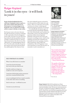# Rutger Kopland 'Look it in the eyes – it will look in yours'

**Rutger Kopland published his first collection,** *Among the Cattle***, in 1966 at a time when realism ruled supreme in Dutch poetry. It remained apparent in Kopland's work, in which he invariably seeks to connect with day-to-day reality.** 

But the poet wants to do more than just describe; his poems try, however modestly, to offer some solace from the disappointments of life. From the very start they have been imbued with the paradisiacal vision of Psalm 23 and the fact that we, with 'all those fine promises' (the title of one of his collections), are seeking happiness all our lives. From the 1980s onwards, his poetry grew sparser, less ironical and anecdotal, more philosophical. But whatever form

they take, Kopland's poems are bound to treat the mysteries of life, death, love and chance. They are, in the poet's own words, 'variations on a theme', analyzing and demonstrating the 'mechanics of emotion'.

It is undoubtedly the human aspect of his poems that has made Rutger Kopland one of the Netherlands' most read poets for almost half a century. He asked essential questions without answering them definitely; in his poems man is first and foremost a searching creature. And for that indefinite search he has coined his own inimitable lyrical style, groping, tentative, full of repetitions, minor shifts and modulations. After all, 'happiness/ must exist somewhere at some time because/ we remember it and it remembers us'.



#### Publishing details

G.A. van Oorschot Herengracht 613 NL – 1017 CE Amsterdam t +31 20 623 14 84 contact@vanoorschot.nl www.vanoorschot.nl

#### Rutger Kopland in translation

Kopland's poems have been published in over twenty languages, including English (Enitharmon, Harvill, Waxwing), French (Gallimard), German (Hanser) and Italian (Edizioni del Leone). Noble Prize Winner J.M. Coetzee translated Kopland's poetry for his anthology *Landscape with Rowers: Poetry from the Netherlands*  (Princeton University Press).

One wonders how long it will take the Nobel Prize committee to consider Rutger Kopland, clearly an exceptionally gifted poet, and a very proper focus for their liberations. *— Poetry Nation Review* 

The quality of his lyrics and elegies, alpha and omega of the poet's trade, indicate a warm and intelligent man who tackles the big subjects with economy and tact. *— The Independent*

Photo: Roy Tee

#### **SELF-PORTRAIT AS A HORSE**

When I was still a horse in a meadow

I must have lived in his body have seen in his eyes what he saw

that life would never begin nor would ever end, nor be repeated

I must have left his body and my memories must have remained behind in him

you are standing by the fence round a meadow on the other side a horse is standing

look it in the eyes – it will look in yours

(Translation by James Brockway)

Rutger Kopland (1934-2012) published over fifteen volumes of poetry, three essay collections and a collection of travel and translation notes. He has won numerous prizes for his poetry, including the prestigious VSB Poetry Prize and the P.C. Hooft Prize, one of the Dutch-speaking world's most important literary awards. Kopland ranks high as one of the Netherlands' best-loved poets, his collections sold over 200,000 copies so far. In 2013 a final edition of his Collected Poems was published.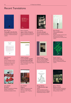### Recent Translations



Maria Barnas **Tamo gdje treba biti tiho** Croatian translation by Romana Perečinec. Published by Brutal in 2013.



Hans Faverey **Poèmes**

French translation by Éric Suchère and Erik Lindner. Published by Théâtre Typographique in 2012.



Toon Tellegen **Brodišče** Slovenian translation by Mateja Seliškar. Published by Studentska zalozba in 2012.



Remco Campert **Jagen, Leben, Erinnern** German translation by Marianne Holberg. Published by Arche in 2011.



#### Paso de Barc<sup>3</sup>

Tsjêbbe Hettinga **La Luz del Mar seguido de Santa María del Mar** Spanish translation by Diego Puls. Published by Cecal - Paso de Barca in 2012.



Arjen Duinker **[Lestnica skarpy]** Russian translation by Julia Telezjko. Published by Kolo in 2009.



Rutger Kopland **Dank sei den Dingen** German translation by Mirko Bonné and Hendrik Rost. Published by Hanser in 2008.



Hans Faverey **Chrysanthemums, rowers** English translation by Francis R. Jones and Lela Faverey. Published by Leon Works Press in 2011.



Rutger Kopland **[Selected Poems]** Farsi translation by Nasim Khaksar. Published by Pazand in 2013.



Menno Wigman **Black as caviar** English translation by Stephen Frech. Published by Midwest Writing Center in 2012.



Toon Tellegen **Raptors** English translation by Judith Wilkinson. Published by Carcanet in 2011. Popescu Prize 2011.



#### Menno Wigman **L'Affliction des copyrettes**

French translation by Pierre Gallissaires and Jan H. Mysjkin. Published by Cheyne in 2010.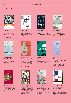#### Recent Translations



Lucebert **Lucebert - The collected poems, volume 1** English translation by Diane Butterman. Published by Green Integer in 2013.



Cees Nooteboom **Licht überall** German translation by Ard Posthuma. Published by Suhrkamp in 2013.



Nachoem M. Wijnberg **Advance payment** English translation by David Colmer. Published by Anvil Press Poetry in 2013.



Ramsey Nasr **[Selected Poems]** Georgian translation by Davit Gholijashvili. Published by Link in 2010.



Martinus Nijhoff **Awater** Slovak translation by Adam Bžoch. Published by Európa in 2012.



Alfred Schaffer **Kom in, dit vries daar buite** Afrikaans translation by Daniel





Cees Nooteboom

García de la Banda.

**Self-Portrait of an other** English translation by David Colmer. Published by Seagull Books in 2011. Also in Spain by Calambur Editorial in 2013. Spanish translation by Fernando

Various Dutch authors **50 poetas de Ámsterdam** Includes all 11 poets featured in this brochure. Spanish translations by Conchita Alegre Gil et al. Published by Eloísa Cartonera in 2013.



Various Dutch authors **Strange tracks** Includes Ester Naomi Perquin

and Menno Wigman. English translations by Paul Vincent et al. Published by Modern Poetry in Translation in 2013.



Martinus Nijhoff **Awater**  English translation by David Colmer et al. Published by Anvil Press Poetry in 2010.



K. Schippers **Tables déplacées. Reportages, recherches, vaudeville**  French translation by Kim Andringa and Jean-Michel Espitallier. Published by Le bleu du ciel in 2012.



#### Various Dutch authors **Poetes néerlandais de la modernité**

Includes Eva Gerlach, Gerrit Kouwenaar and Nachoem M. Wijnberg. French translations by Kim Andringa et al. Published by Le Temps des Cerises in 2011.